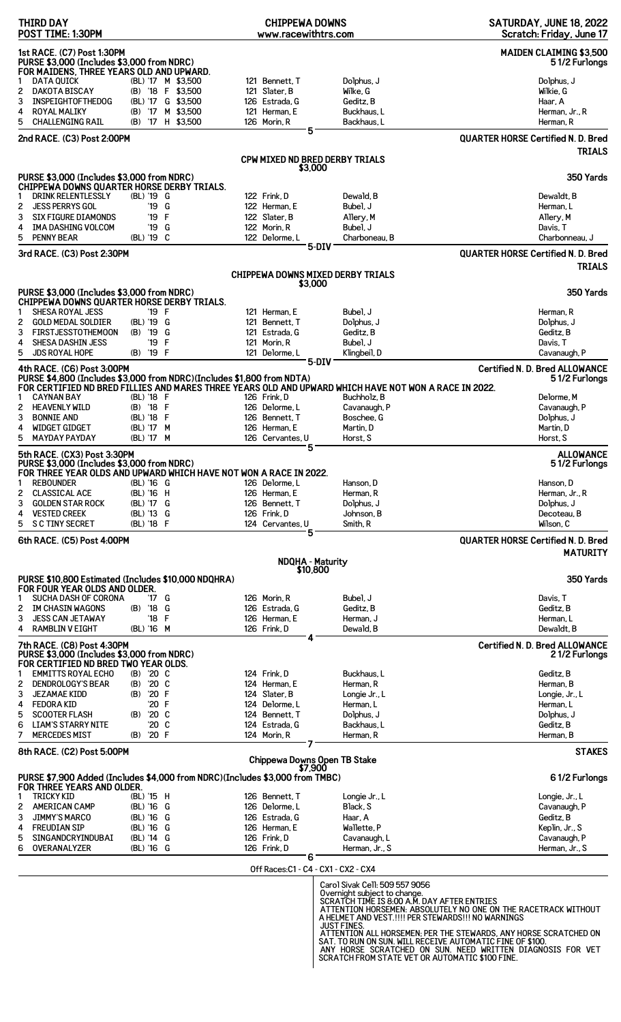| THIRD DAY<br>POST TIME: 1:30PM                                                                                                                                                  | <b>CHIPPEWA DOWNS</b><br>www.racewithtrs.com |                                                                                                                                           | SATURDAY, JUNE 18, 2022<br>Scratch: Friday, June 17        |
|---------------------------------------------------------------------------------------------------------------------------------------------------------------------------------|----------------------------------------------|-------------------------------------------------------------------------------------------------------------------------------------------|------------------------------------------------------------|
| 1st RACE. (C7) Post 1:30PM<br>PURSE \$3,000 (Includes \$3,000 from NDRC)<br>FOR MAIDENS, THREE YEARS OLD AND UPWARD.                                                            |                                              |                                                                                                                                           | <b>MAIDEN CLAIMING \$3,500</b><br>51/2 Furlongs            |
| <b>DATA QUICK</b><br>(BL) '17 M \$3,500<br>1                                                                                                                                    | 121 Bennett, T                               | Dolphus, J                                                                                                                                | Dolphus, J                                                 |
| 2<br><b>DAKOTA BISCAY</b><br>(B) '18 F \$3,500<br>(BL) '17 G \$3,500<br>3<br><b>INSPEIGHTOFTHEDOG</b>                                                                           | 121 Slater, B<br>126 Estrada, G              | Wilke, G<br>Geditz, B                                                                                                                     | Wilkie, G<br>Haar, A                                       |
| 4<br><b>ROYAL MALIKY</b><br>(B) '17 M \$3,500                                                                                                                                   | 121 Herman, E                                | Buckhaus, L                                                                                                                               | Herman, Jr., R                                             |
| 5<br><b>CHALLENGING RAIL</b><br>(B) '17 H \$3,500                                                                                                                               | 126 Morin, R                                 | Backhaus, L                                                                                                                               | Herman, R                                                  |
| 2nd RACE. (C3) Post 2:00PM                                                                                                                                                      | 5                                            |                                                                                                                                           | <b>QUARTER HORSE Certified N. D. Bred</b><br><b>TRIALS</b> |
|                                                                                                                                                                                 | CPW MIXED ND BRED DERBY TRIALS<br>\$3,000    |                                                                                                                                           |                                                            |
| PURSE \$3,000 (Includes \$3,000 from NDRC)                                                                                                                                      |                                              |                                                                                                                                           | 350 Yards                                                  |
| CHIPPEWA DOWNS QUARTER HORSE DERBY TRIALS.<br><b>DRINK RELENTLESSLY</b>                                                                                                         |                                              |                                                                                                                                           |                                                            |
| (BL) '19 G<br>1<br>2<br><b>JESS PERRYS GOL</b><br>'19 G                                                                                                                         | 122 Frink, D<br>122 Herman, E                | Dewald, B<br>Bubel, J                                                                                                                     | Dewaldt, B<br>Herman, L                                    |
| '19 F<br>3<br><b>SIX FIGURE DIAMONDS</b>                                                                                                                                        | 122 Slater, B                                | Allery, M                                                                                                                                 | Allery, M                                                  |
| <b>IMA DASHING VOLCOM</b><br>4<br>'19<br>G                                                                                                                                      | 122 Morin, R                                 | Bubel. J                                                                                                                                  | Davis, T                                                   |
| 5<br><b>PENNY BEAR</b><br>(BL) '19 C                                                                                                                                            | 122 Delorme, L                               | Charboneau, B<br>5-DIV                                                                                                                    | Charbonneau, J                                             |
| 3rd RACE. (C3) Post 2:30PM                                                                                                                                                      |                                              |                                                                                                                                           | <b>QUARTER HORSE Certified N. D. Bred</b>                  |
|                                                                                                                                                                                 |                                              | CHIPPEWA DOWNS MIXED DERBY TRIALS                                                                                                         | <b>TRIALS</b>                                              |
| PURSE \$3,000 (Includes \$3,000 from NDRC)                                                                                                                                      | \$3,000                                      |                                                                                                                                           | 350 Yards                                                  |
| CHIPPEWA DOWNS QUARTER HORSE DERBY TRIALS.                                                                                                                                      |                                              |                                                                                                                                           |                                                            |
| SHESA ROYAL JESS<br>'19 F<br>1<br>2<br><b>GOLD MEDAL SOLDIER</b><br>(BL) '19 G                                                                                                  | 121 Herman, E<br>121 Bennett, T              | Bubel, J<br>Dolphus, J                                                                                                                    | Herman, R<br>Dolphus, J                                    |
| 3<br><b>FIRSTJESSTOTHEMOON</b><br>(B) '19 G                                                                                                                                     | 121 Estrada, G                               | Geditz, B                                                                                                                                 | Geditz, B                                                  |
| F<br>4<br>SHESA DASHIN JESS<br>'19                                                                                                                                              | 121 Morin, R                                 | Bubel, J                                                                                                                                  | Davis, T                                                   |
| 5<br>'19 F<br><b>JDS ROYAL HOPE</b><br>(B)                                                                                                                                      | 121 Delorme, L                               | Klingbeil, D                                                                                                                              | Cavanaugh, P                                               |
| 4th RACE. (C6) Post 3:00PM                                                                                                                                                      |                                              | 5-DIV                                                                                                                                     | <b>Certified N. D. Bred ALLOWANCE</b>                      |
| PURSE \$4,800 (Includes \$3,000 from NDRC)(Includes \$1,800 from NDTA)<br>FOR CERTIFIED ND BRED FILLIES AND MARES THREE YEARS OLD AND UPWARD WHICH HAVE NOT WON A RACE IN 2022. |                                              |                                                                                                                                           | 51/2 Furlongs                                              |
| <b>CAYNAN BAY</b><br>(BL) '18 F<br>1                                                                                                                                            | 126 Frink, D                                 | Buchholz, B                                                                                                                               | Delorme, M                                                 |
| (B) '18 F<br>2<br><b>HEAVENLY WILD</b>                                                                                                                                          | 126 Delorme, L                               | Cavanaugh, P                                                                                                                              | Cavanaugh, P                                               |
| 3<br><b>BONNIE AND</b><br>(BL) '18 F                                                                                                                                            | 126 Bennett. T                               | Boschee, G                                                                                                                                | Dolphus, J                                                 |
| WIDGET GIDGET<br>(BL) '17 M<br>4                                                                                                                                                | 126 Herman, E                                | Martin, D                                                                                                                                 | Martin, D                                                  |
| 5<br><b>MAYDAY PAYDAY</b><br>(BL) '17 M                                                                                                                                         | 126 Cervantes, U<br>5                        | Horst, S                                                                                                                                  | Horst, S                                                   |
| 5th RACE. (CX3) Post 3:30PM<br>PURSE \$3,000 (Includes \$3,000 from NDRC)<br>FOR THREE YEAR OLDS AND UPWARD WHICH HAVE NOT WON A RACE IN 2022.                                  |                                              |                                                                                                                                           | <b>ALLOWANCE</b><br>51/2 Furlongs                          |
| <b>REBOUNDER</b><br>(BL) '16 G<br>1                                                                                                                                             | 126 Delorme.L                                | Hanson, D                                                                                                                                 | Hanson, D                                                  |
| <b>CLASSICAL ACE</b><br>(BL) '16 H<br>2                                                                                                                                         | 126 Herman, E                                | Herman, R                                                                                                                                 | Herman, Jr., R                                             |
| 3<br><b>GOLDEN STAR ROCK</b><br>(BL) '17 G                                                                                                                                      | 126 Bennett, T                               | Dolphus, J                                                                                                                                | Dolphus, J                                                 |
| <b>VESTED CREEK</b><br>(BL) '13 G<br>4<br>(BL) '18 F<br>5<br><b>SC TINY SECRET</b>                                                                                              | 126 Frink, D<br>124 Cervantes, U             | Johnson, B<br>Smith, R                                                                                                                    | Decoteau, B<br>Wilson, C                                   |
| 6th RACE. (C5) Post 4:00PM                                                                                                                                                      | 5                                            |                                                                                                                                           | <b>QUARTER HORSE Certified N. D. Bred</b>                  |
|                                                                                                                                                                                 | <b>NDQHA - Maturity</b>                      |                                                                                                                                           | <b>MATURITY</b>                                            |
|                                                                                                                                                                                 | \$10,800                                     |                                                                                                                                           |                                                            |
| PURSE \$10,800 Estimated (Includes \$10,000 NDQHRA)<br>FOR FOUR YEAR OLDS AND OLDER.                                                                                            |                                              |                                                                                                                                           | 350 Yards                                                  |
| SUCHA DASH OF CORONA<br>'17 G<br>1                                                                                                                                              | 126 Morin. R                                 | Bubel, J                                                                                                                                  | Davis, T                                                   |
| '18 G<br>2<br><b>IM CHASIN WAGONS</b><br>(B)                                                                                                                                    | 126 Estrada, G                               | Geditz, B                                                                                                                                 | Geditz, B                                                  |
| '18 F<br>3<br><b>JESS CAN JETAWAY</b><br><b>RAMBLIN V EIGHT</b><br>(BL) '16 M<br>4                                                                                              | 126 Herman, E<br>126 Frink, D                | Herman, J<br>Dewald, B                                                                                                                    | Herman, L<br>Dewaldt, B                                    |
| 7th RACE. (C8) Post 4:30PM                                                                                                                                                      |                                              |                                                                                                                                           | <b>Certified N. D. Bred ALLOWANCE</b>                      |
| PURSE \$3,000 (Includes \$3,000 from NDRC)                                                                                                                                      |                                              |                                                                                                                                           | 21/2 Furlongs                                              |
| FOR CERTIFIED ND BRED TWO YEAR OLDS.                                                                                                                                            |                                              |                                                                                                                                           |                                                            |
| <b>EMMITTS ROYAL ECHO</b><br>'20 C<br>(B)<br>1<br>2<br><b>DENDROLOGY'S BEAR</b><br>'20 C<br>(B)                                                                                 | 124 Frink, D<br>124 Herman, E                | Buckhaus, L<br>Herman, R                                                                                                                  | Geditz, B<br>Herman, B                                     |
| (B) '20 F<br>3<br><b>JEZAMAE KIDD</b>                                                                                                                                           | 124 Slater, B                                | Longie Jr., L                                                                                                                             | Longie, Jr., L                                             |
| '20 F<br><b>FEDORA KID</b><br>4                                                                                                                                                 | 124 Delorme, L                               | Herman, L                                                                                                                                 | Herman, L                                                  |
| 5<br><b>SCOOTER FLASH</b><br>'20 C<br>(B)                                                                                                                                       | 124 Bennett, T                               | Dolphus, J                                                                                                                                | Dolphus, J                                                 |
| 6<br><b>LIAM'S STARRY NITE</b><br>'20 C                                                                                                                                         | 124 Estrada, G                               | Backhaus, L                                                                                                                               | Geditz, B                                                  |
| 7<br>'20 F<br><b>MERCEDES MIST</b><br>(B)                                                                                                                                       | 124 Morin, R                                 | Herman, R                                                                                                                                 | Herman, B                                                  |
| 8th RACE. (C2) Post 5:00PM                                                                                                                                                      |                                              |                                                                                                                                           | <b>STAKES</b>                                              |
|                                                                                                                                                                                 | Chippewa Downs Open TB Stake<br>\$7.900      |                                                                                                                                           |                                                            |
| PURSE \$7,900 Added (Includes \$4,000 from NDRC)(Includes \$3,000 from TMBC)<br>FOR THREE YEARS AND OLDER.                                                                      |                                              |                                                                                                                                           | 61/2 Furlongs                                              |
| <b>TRICKY KID</b><br>(BL) '15 H<br>1                                                                                                                                            | 126 Bennett, T                               | Longie Jr., L                                                                                                                             | Longie, Jr., L                                             |
| 2<br><b>AMERICAN CAMP</b><br>(BL) '16 G                                                                                                                                         | 126 Delorme.L                                | Black, S                                                                                                                                  | Cavanaugh, P                                               |
| 3<br><b>JIMMY'S MARCO</b><br>(BL) '16 G                                                                                                                                         | 126 Estrada, G                               | Haar, A                                                                                                                                   | Geditz, B                                                  |
| (BL) '16 G<br><b>FREUDIAN SIP</b><br>4                                                                                                                                          | 126 Herman, E                                | Wallette, P                                                                                                                               | Keplin, Jr., S                                             |
| 5<br>SINGANDCRYINDUBAI<br>(BL) '14 G<br>6<br>(BL) '16 G<br>OVERANALYZER                                                                                                         | 126 Frink.D<br>126 Frink.D                   | Cavanaugh, L<br>Herman, Jr., S                                                                                                            | Cavanaugh, P<br>Herman, Jr., S                             |
|                                                                                                                                                                                 | 6                                            |                                                                                                                                           |                                                            |
|                                                                                                                                                                                 | Off Races: C1 - C4 - CX1 - CX2 - CX4         |                                                                                                                                           |                                                            |
|                                                                                                                                                                                 |                                              | Carol Sivak Cell: 509 557 9056                                                                                                            |                                                            |
|                                                                                                                                                                                 |                                              | Overnight subject to change.<br>SCRATCH TIME IS 8:00 A.M. DAY AFTER ENTRIES                                                               |                                                            |
|                                                                                                                                                                                 |                                              | ATTENTION HORSEMEN: ABSOLUTELY NO ONE ON THE RACETRACK WITHOUT                                                                            |                                                            |
|                                                                                                                                                                                 |                                              | A HELMET AND VEST.!!!! PER STEWARDS!!! NO WARNINGS                                                                                        |                                                            |
|                                                                                                                                                                                 |                                              | JUST FINES.<br>ATTENTION ALL HORSEMEN, PER THE STEWARDS, ANY HORSE SCRATCHED ON SAT. TO RUN ON SUN. WILL RECEIVE AUTOMATIC FINE OF \$100. |                                                            |
|                                                                                                                                                                                 |                                              | ANY HORSE SCRATCHED ON SUN. NEED WRITTEN DIAGNOSIS FOR VET                                                                                |                                                            |
|                                                                                                                                                                                 |                                              | SCRATCH FROM STATE VET OR AUTOMATIC \$100 FINE.                                                                                           |                                                            |
|                                                                                                                                                                                 |                                              |                                                                                                                                           |                                                            |